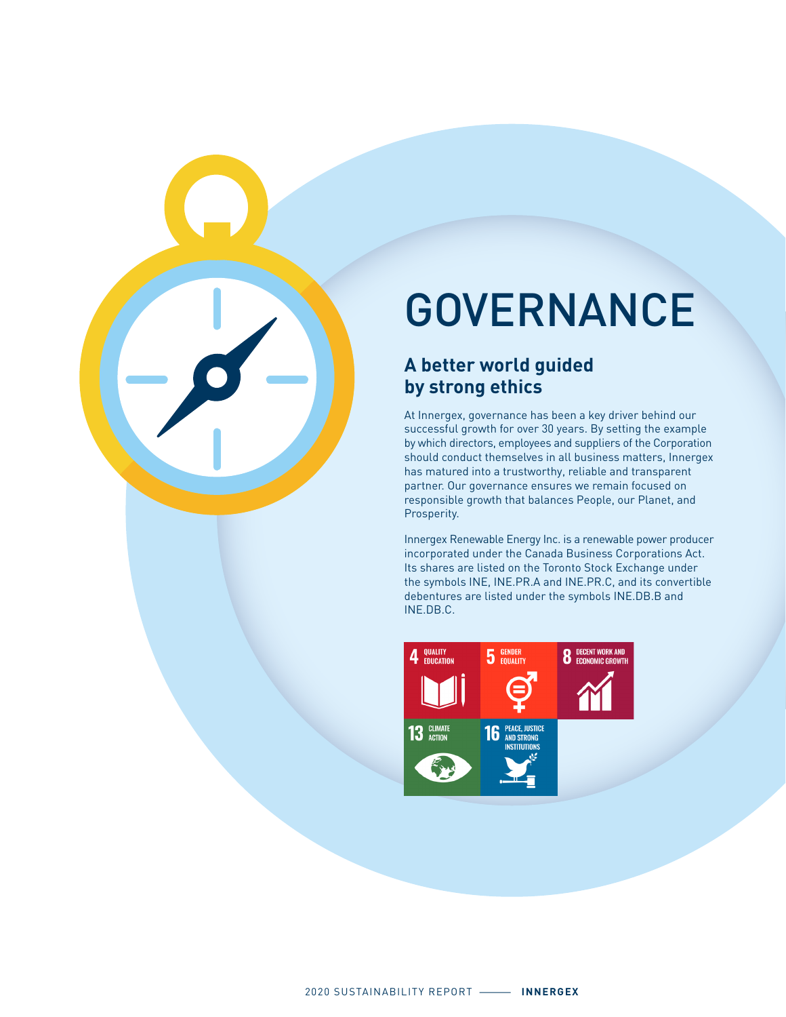

# GOVERNANCE

#### **A better world guided by strong ethics**

At Innergex, governance has been a key driver behind our successful growth for over 30 years. By setting the example by which directors, employees and suppliers of the Corporation should conduct themselves in all business matters, Innergex has matured into a trustworthy, reliable and transparent partner. Our governance ensures we remain focused on responsible growth that balances People, our Planet, and Prosperity.

Innergex Renewable Energy Inc. is a renewable power producer incorporated under the Canada Business Corporations Act. Its shares are listed on the Toronto Stock Exchange under the symbols INE, INE.PR.A and INE.PR.C, and its convertible debentures are listed under the symbols INE.DB.B and INE.DB.C.

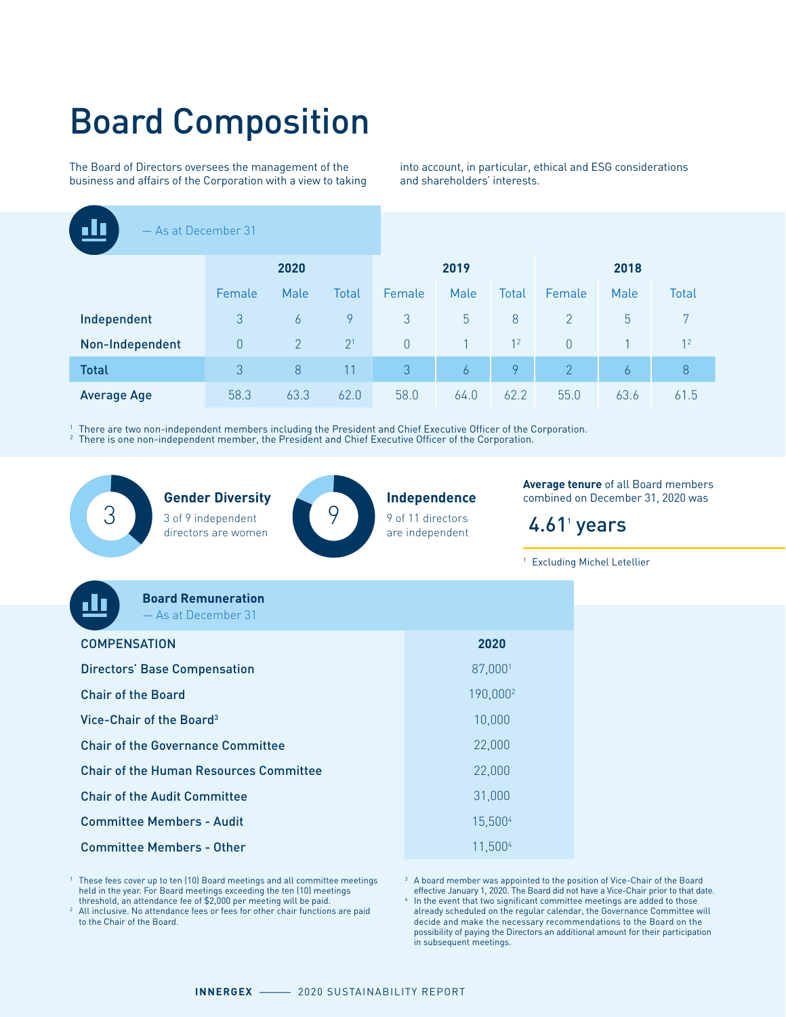# Board Composition

The Board of Directors oversees the management of the business and affairs of the Corporation with a view to taking into account, in particular, ethical and ESG considerations and shareholders' interests.

| - As at December 31 |          |                |                |          |      |                |                |      |                |
|---------------------|----------|----------------|----------------|----------|------|----------------|----------------|------|----------------|
|                     | 2020     |                |                |          | 2019 |                | 2018           |      |                |
|                     | Female   | Male           | Total          | Female   | Male | <b>Total</b>   | Female         | Male | <b>Total</b>   |
| Independent         | 3        | 6              | 9              | 3        | 5    | 8              | 2              | 5    | 7              |
| Non-Independent     | $\theta$ | $\overline{2}$ | 2 <sup>1</sup> | $\theta$ |      | 1 <sup>2</sup> | $\theta$       |      | 1 <sup>2</sup> |
| <b>Total</b>        | 3        | 8              | 11             | 3        | 6    | 9              | $\overline{2}$ | 6    | $8\phantom{1}$ |
| <b>Average Age</b>  | 58.3     | 63.3           | 62.0           | 58.0     | 64.0 | 62.2           | 55.0           | 63.6 | 61.5           |

1 There are two non-independent members including the President and Chief Executive Officer of the Corporation. <sup>2</sup> There is one non-independent member, the President and Chief Executive Officer of the Corporation.

**Gender Diversity** 3 of 9 independent (9 directors are women



**Independence** 9 of 11 directors are independent

**Average tenure** of all Board members combined on December 31, 2020 was

#### $4.61<sup>1</sup>$  years

<sup>1</sup> Excluding Michel Letellier

| <b>Board Remuneration</b><br>- As at December 31 |                      |
|--------------------------------------------------|----------------------|
| <b>COMPENSATION</b>                              | 2020                 |
| <b>Directors' Base Compensation</b>              | 87,0001              |
| <b>Chair of the Board</b>                        | 190,000 <sup>2</sup> |
| Vice-Chair of the Board <sup>3</sup>             | 10,000               |
| <b>Chair of the Governance Committee</b>         | 22,000               |
| <b>Chair of the Human Resources Committee</b>    | 22,000               |
| <b>Chair of the Audit Committee</b>              | 31,000               |
| <b>Committee Members - Audit</b>                 | 15,5004              |
| <b>Committee Members - Other</b>                 | 11,5004              |

1 These fees cover up to ten (10) Board meetings and all committee meetings held in the year. For Board meetings exceeding the ten (10) meetings threshold, an attendance fee of \$2,000 per meeting will be paid. 2

<sup>2</sup> All inclusive. No attendance fees or fees for other chair functions are paid to the Chair of the Board.

<sup>3</sup> A board member was appointed to the position of Vice-Chair of the Board effective January 1, 2020. The Board did not have a Vice-Chair prior to that date.

4 In the event that two significant committee meetings are added to those already scheduled on the regular calendar, the Governance Committee will decide and make the necessary recommendations to the Board on the possibility of paying the Directors an additional amount for their participation in subsequent meetings.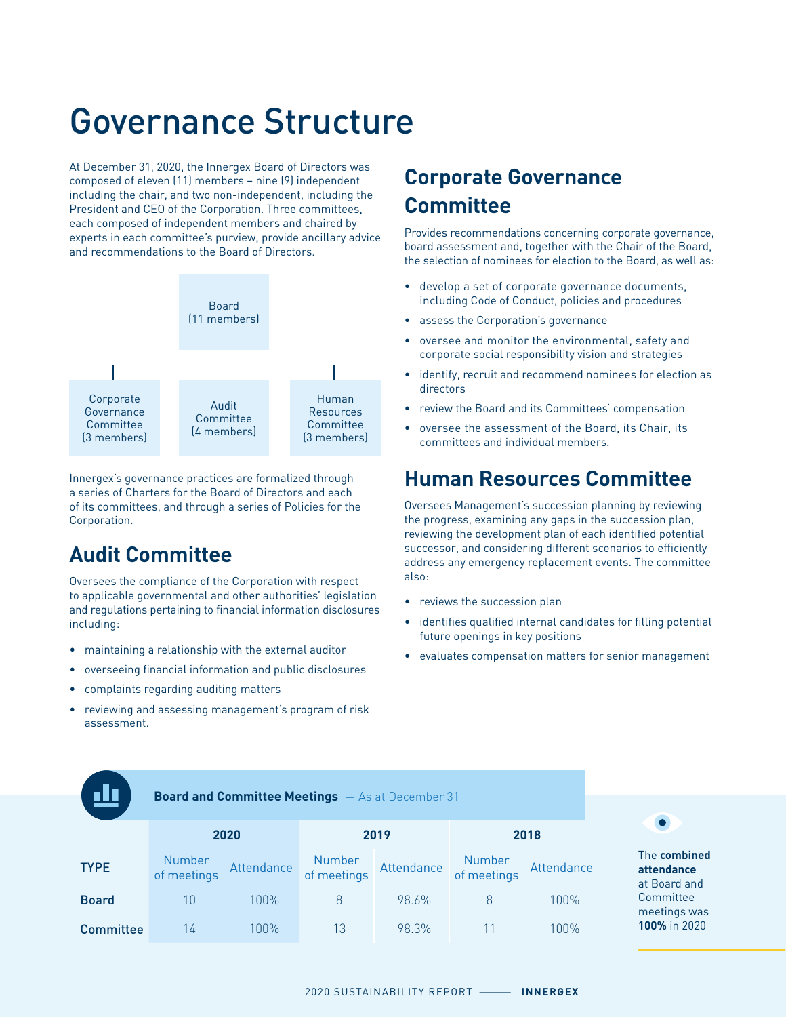# Governance Structure

At December 31, 2020, the Innergex Board of Directors was composed of eleven (11) members – nine (9) independent including the chair, and two non-independent, including the President and CEO of the Corporation. Three committees, each composed of independent members and chaired by experts in each committee's purview, provide ancillary advice and recommendations to the Board of Directors.



Innergex's governance practices are formalized through a series of Charters for the Board of Directors and each of its committees, and through a series of Policies for the Corporation.

#### **Audit Committee**

Oversees the compliance of the Corporation with respect to applicable governmental and other authorities' legislation and regulations pertaining to financial information disclosures including:

- maintaining a relationship with the external auditor
- overseeing financial information and public disclosures
- complaints regarding auditing matters
- reviewing and assessing management's program of risk assessment.

#### **Corporate Governance Committee**

Provides recommendations concerning corporate governance, board assessment and, together with the Chair of the Board, the selection of nominees for election to the Board, as well as:

- develop a set of corporate governance documents, including Code of Conduct, policies and procedures
- assess the Corporation's governance
- oversee and monitor the environmental, safety and corporate social responsibility vision and strategies
- identify, recruit and recommend nominees for election as directors
- review the Board and its Committees' compensation
- oversee the assessment of the Board, its Chair, its committees and individual members.

#### **Human Resources Committee**

Oversees Management's succession planning by reviewing the progress, examining any gaps in the succession plan, reviewing the development plan of each identified potential successor, and considering different scenarios to efficiently address any emergency replacement events. The committee also:

- reviews the succession plan
- identifies qualified internal candidates for filling potential future openings in key positions
- evaluates compensation matters for senior management

**Board and Committee Meetings** — As at December 31

|                  | 2020                  |            |                       | 2019       | 2018                  |            |  |
|------------------|-----------------------|------------|-----------------------|------------|-----------------------|------------|--|
| <b>TYPE</b>      | Number<br>of meetings | Attendance | Number<br>of meetings | Attendance | Number<br>of meetings | Attendance |  |
| <b>Board</b>     | 10                    | 100%       | 8                     | 98.6%      | 8                     | $100\%$    |  |
| <b>Committee</b> | 14                    | 100%       | 13                    | 98.3%      |                       | 1በበ%       |  |



The **combined attendance** at Board and Committee meetings was **100%** in 2020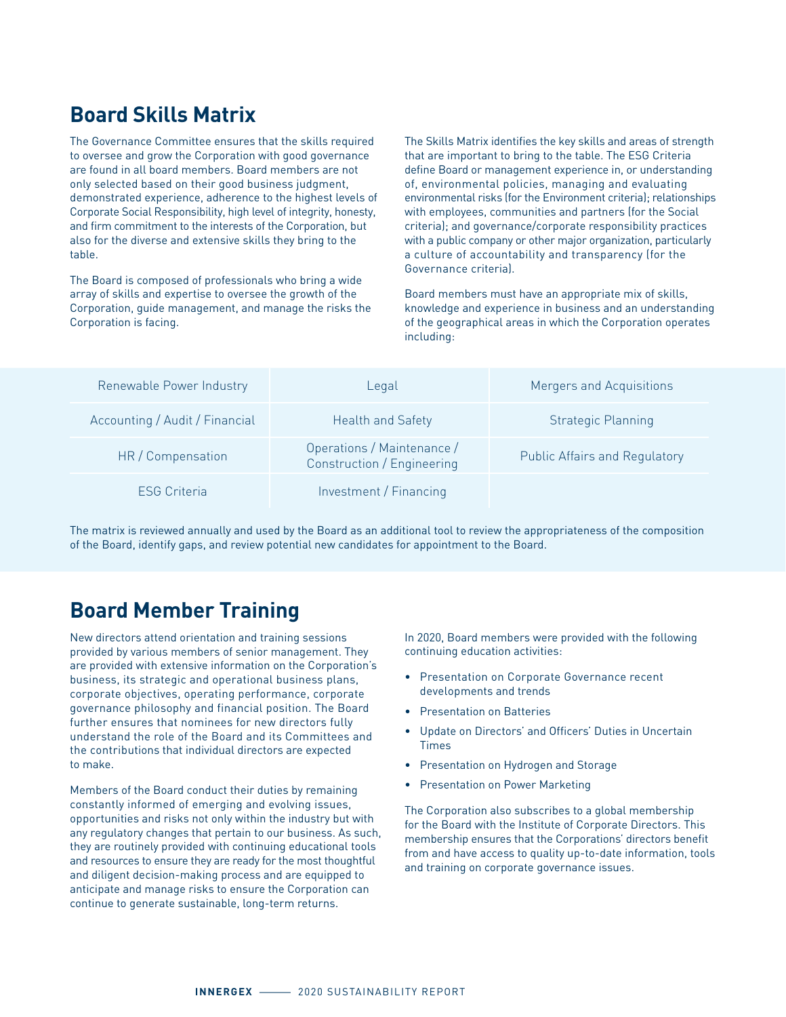#### **Board Skills Matrix**

The Governance Committee ensures that the skills required to oversee and grow the Corporation with good governance are found in all board members. Board members are not only selected based on their good business judgment, demonstrated experience, adherence to the highest levels of Corporate Social Responsibility, high level of integrity, honesty, and firm commitment to the interests of the Corporation, but also for the diverse and extensive skills they bring to the table.

The Board is composed of professionals who bring a wide array of skills and expertise to oversee the growth of the Corporation, guide management, and manage the risks the Corporation is facing.

The Skills Matrix identifies the key skills and areas of strength that are important to bring to the table. The ESG Criteria define Board or management experience in, or understanding of, environmental policies, managing and evaluating environmental risks (for the Environment criteria); relationships with employees, communities and partners (for the Social criteria); and governance/corporate responsibility practices with a public company or other major organization, particularly a culture of accountability and transparency (for the Governance criteria).

Board members must have an appropriate mix of skills, knowledge and experience in business and an understanding of the geographical areas in which the Corporation operates including:

| Renewable Power Industry       | Legal                                                    | Mergers and Acquisitions             |
|--------------------------------|----------------------------------------------------------|--------------------------------------|
| Accounting / Audit / Financial | <b>Health and Safety</b>                                 | <b>Strategic Planning</b>            |
| HR / Compensation              | Operations / Maintenance /<br>Construction / Engineering | <b>Public Affairs and Regulatory</b> |
| <b>ESG Criteria</b>            | Investment / Financing                                   |                                      |

The matrix is reviewed annually and used by the Board as an additional tool to review the appropriateness of the composition of the Board, identify gaps, and review potential new candidates for appointment to the Board.

#### **Board Member Training**

New directors attend orientation and training sessions provided by various members of senior management. They are provided with extensive information on the Corporation's business, its strategic and operational business plans, corporate objectives, operating performance, corporate governance philosophy and financial position. The Board further ensures that nominees for new directors fully understand the role of the Board and its Committees and the contributions that individual directors are expected to make.

Members of the Board conduct their duties by remaining constantly informed of emerging and evolving issues, opportunities and risks not only within the industry but with any regulatory changes that pertain to our business. As such, they are routinely provided with continuing educational tools and resources to ensure they are ready for the most thoughtful and diligent decision-making process and are equipped to anticipate and manage risks to ensure the Corporation can continue to generate sustainable, long-term returns.

In 2020, Board members were provided with the following continuing education activities:

- Presentation on Corporate Governance recent developments and trends
- Presentation on Batteries
- Update on Directors' and Officers' Duties in Uncertain Times
- Presentation on Hydrogen and Storage
- Presentation on Power Marketing

The Corporation also subscribes to a global membership for the Board with the Institute of Corporate Directors. This membership ensures that the Corporations' directors benefit from and have access to quality up-to-date information, tools and training on corporate governance issues.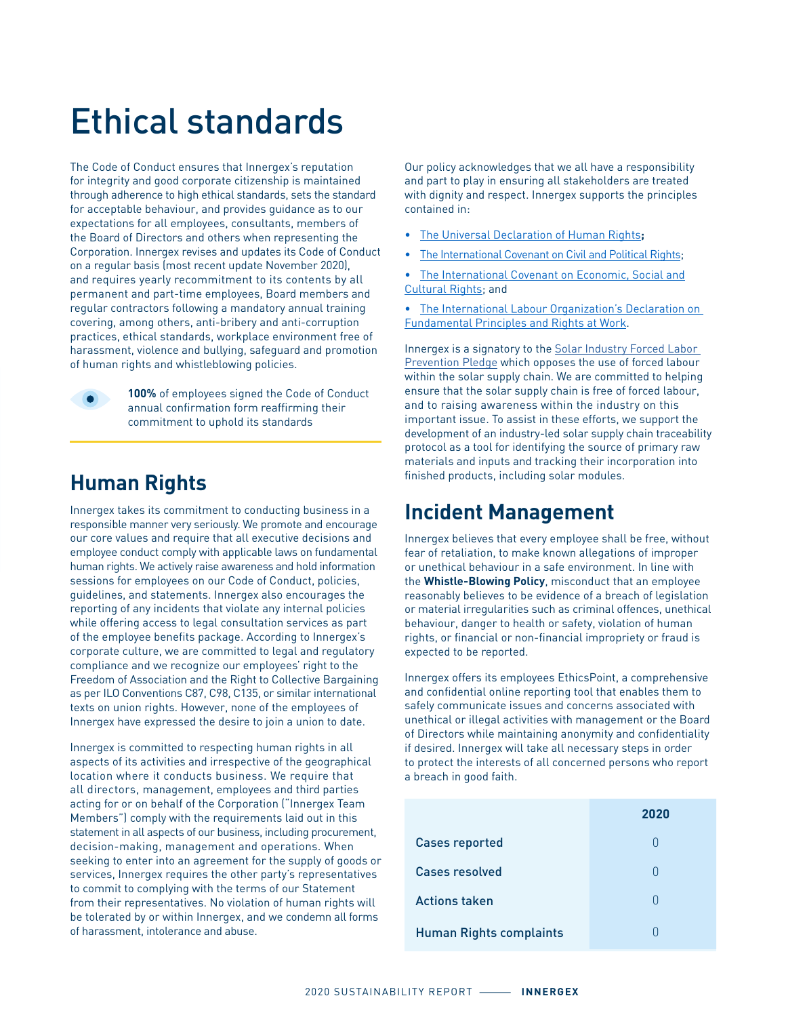# Ethical standards

The Code of Conduct ensures that Innergex's reputation for integrity and good corporate citizenship is maintained through adherence to high ethical standards, sets the standard for acceptable behaviour, and provides guidance as to our expectations for all employees, consultants, members of the Board of Directors and others when representing the Corporation. Innergex revises and updates its Code of Conduct on a regular basis (most recent update November 2020), and requires yearly recommitment to its contents by all permanent and part-time employees, Board members and regular contractors following a mandatory annual training covering, among others, anti-bribery and anti-corruption practices, ethical standards, workplace environment free of harassment, violence and bullying, safeguard and promotion of human rights and whistleblowing policies.



**100%** of employees signed the Code of Conduct annual confirmation form reaffirming their commitment to uphold its standards

#### **Human Rights**

Innergex takes its commitment to conducting business in a responsible manner very seriously. We promote and encourage our core values and require that all executive decisions and employee conduct comply with applicable laws on fundamental human rights. We actively raise awareness and hold information sessions for employees on our Code of Conduct, policies, guidelines, and statements. Innergex also encourages the reporting of any incidents that violate any internal policies while offering access to legal consultation services as part of the employee benefits package. According to Innergex's corporate culture, we are committed to legal and regulatory compliance and we recognize our employees' right to the Freedom of Association and the Right to Collective Bargaining as per ILO Conventions C87, C98, C135, or similar international texts on union rights. However, none of the employees of Innergex have expressed the desire to join a union to date.

Innergex is committed to respecting human rights in all aspects of its activities and irrespective of the geographical location where it conducts business. We require that all directors, management, employees and third parties acting for or on behalf of the Corporation ("Innergex Team Members") comply with the requirements laid out in this statement in all aspects of our business, including procurement, decision-making, management and operations. When seeking to enter into an agreement for the supply of goods or services, Innergex requires the other party's representatives to commit to complying with the terms of our Statement from their representatives. No violation of human rights will be tolerated by or within Innergex, and we condemn all forms of harassment, intolerance and abuse.

Our policy acknowledges that we all have a responsibility and part to play in ensuring all stakeholders are treated with dignity and respect. Innergex supports the principles contained in:

- [The Universal Declaration of Human Rights](https://www.un.org/en/universal-declaration-human-rights/)**;**
- [The International Covenant on Civil and Political Rights](https://www.ohchr.org/en/professionalinterest/pages/ccpr.aspx);

[The International Covenant on Economic, Social and](https://www.ohchr.org/en/professionalinterest/pages/cescr.aspx) [Cultural Rights;](https://www.ohchr.org/en/professionalinterest/pages/cescr.aspx) and

• [The International Labour Organization's Declaration on](https://www.ilo.org/declaration/lang--en/index.htm)  [Fundamental Principles and Rights at Work](https://www.ilo.org/declaration/lang--en/index.htm).

Innergex is a signatory to the [Solar Industry Forced Labor](https://www.seia.org/sites/default/files/Solar%20Industry%20Forced%20Labor%20Prevention%20Pledge%20Signatories.pdf)  [Prevention Pledge](https://www.seia.org/sites/default/files/Solar%20Industry%20Forced%20Labor%20Prevention%20Pledge%20Signatories.pdf) which opposes the use of forced labour within the solar supply chain. We are committed to helping ensure that the solar supply chain is free of forced labour, and to raising awareness within the industry on this important issue. To assist in these efforts, we support the development of an industry-led solar supply chain traceability protocol as a tool for identifying the source of primary raw materials and inputs and tracking their incorporation into finished products, including solar modules.

#### **Incident Management**

Innergex believes that every employee shall be free, without fear of retaliation, to make known allegations of improper or unethical behaviour in a safe environment. In line with the **Whistle-Blowing Policy**, misconduct that an employee reasonably believes to be evidence of a breach of legislation or material irregularities such as criminal offences, unethical behaviour, danger to health or safety, violation of human rights, or financial or non-financial impropriety or fraud is expected to be reported.

Innergex offers its employees EthicsPoint, a comprehensive and confidential online reporting tool that enables them to safely communicate issues and concerns associated with unethical or illegal activities with management or the Board of Directors while maintaining anonymity and confidentiality if desired. Innergex will take all necessary steps in order to protect the interests of all concerned persons who report a breach in good faith.

|                                | 2020   |
|--------------------------------|--------|
| <b>Cases reported</b>          | n      |
| Cases resolved                 | $\Box$ |
| <b>Actions taken</b>           | n      |
| <b>Human Rights complaints</b> |        |